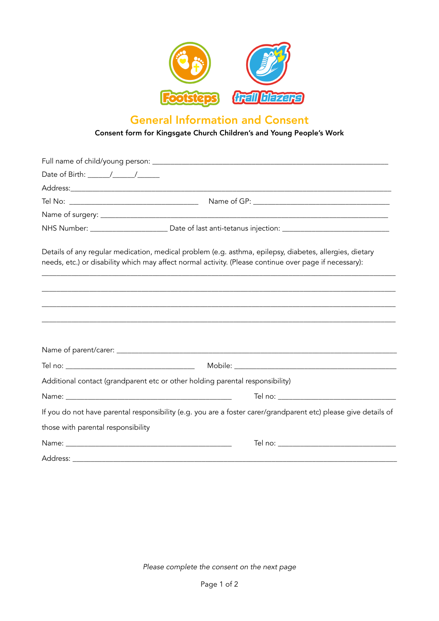

## General Information and Consent

## Consent form for Kingsgate Church Children's and Young People's Work

|                                    | NHS Number: __________________________Date of last anti-tetanus injection: ___________________________________                                                                                                    |
|------------------------------------|-------------------------------------------------------------------------------------------------------------------------------------------------------------------------------------------------------------------|
|                                    | Details of any regular medication, medical problem (e.g. asthma, epilepsy, diabetes, allergies, dietary<br>needs, etc.) or disability which may affect normal activity. (Please continue over page if necessary): |
|                                    |                                                                                                                                                                                                                   |
|                                    |                                                                                                                                                                                                                   |
|                                    |                                                                                                                                                                                                                   |
|                                    |                                                                                                                                                                                                                   |
|                                    |                                                                                                                                                                                                                   |
|                                    | Additional contact (grandparent etc or other holding parental responsibility)                                                                                                                                     |
|                                    |                                                                                                                                                                                                                   |
|                                    | If you do not have parental responsibility (e.g. you are a foster carer/grandparent etc) please give details of                                                                                                   |
| those with parental responsibility |                                                                                                                                                                                                                   |
|                                    |                                                                                                                                                                                                                   |
|                                    |                                                                                                                                                                                                                   |